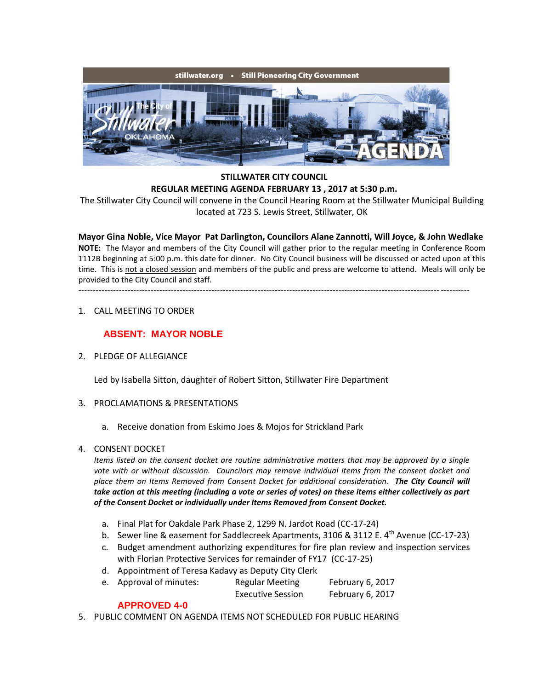

## **STILLWATER CITY COUNCIL REGULAR MEETING AGENDA FEBRUARY 13 , 2017 at 5:30 p.m.**

The Stillwater City Council will convene in the Council Hearing Room at the Stillwater Municipal Building located at 723 S. Lewis Street, Stillwater, OK

**Mayor Gina Noble, Vice Mayor Pat Darlington, Councilors Alane Zannotti, Will Joyce, & John Wedlake NOTE:** The Mayor and members of the City Council will gather prior to the regular meeting in Conference Room 1112B beginning at 5:00 p.m. this date for dinner. No City Council business will be discussed or acted upon at this time. This is not a closed session and members of the public and press are welcome to attend. Meals will only be provided to the City Council and staff.

---------------------------------------------------------------------------------------------------------------------------------------

1. CALL MEETING TO ORDER

## **ABSENT: MAYOR NOBLE**

2. PLEDGE OF ALLEGIANCE

Led by Isabella Sitton, daughter of Robert Sitton, Stillwater Fire Department

- 3. PROCLAMATIONS & PRESENTATIONS
	- a. Receive donation from Eskimo Joes & Mojos for Strickland Park
- 4. CONSENT DOCKET

*Items listed on the consent docket are routine administrative matters that may be approved by a single vote with or without discussion. Councilors may remove individual items from the consent docket and place them on Items Removed from Consent Docket for additional consideration. The City Council will take action at this meeting (including a vote or series of votes) on these items either collectively as part of the Consent Docket or individually under Items Removed from Consent Docket.*

- a. Final Plat for Oakdale Park Phase 2, 1299 N. Jardot Road (CC-17-24)
- b. Sewer line & easement for Saddlecreek Apartments, 3106 & 3112 E.  $4^{th}$  Avenue (CC-17-23)
- c. Budget amendment authorizing expenditures for fire plan review and inspection services with Florian Protective Services for remainder of FY17 (CC-17-25)
- d. Appointment of Teresa Kadavy as Deputy City Clerk
- e. Approval of minutes: Regular Meeting February 6, 2017 Executive Session February 6, 2017

## **APPROVED 4-0**

5. PUBLIC COMMENT ON AGENDA ITEMS NOT SCHEDULED FOR PUBLIC HEARING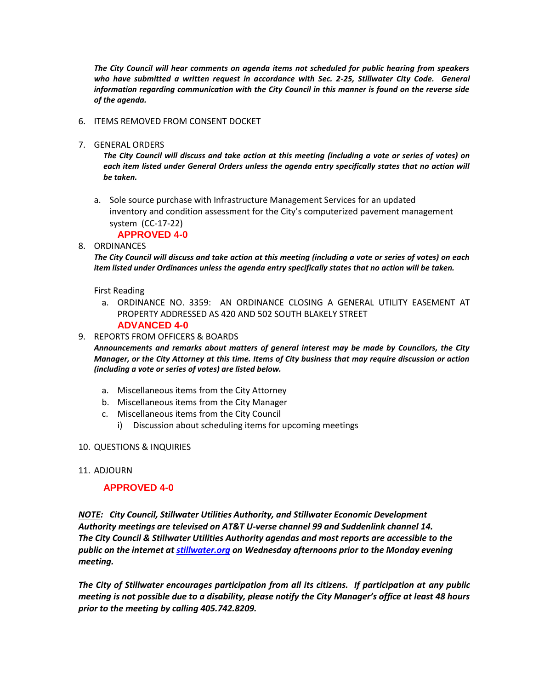*The City Council will hear comments on agenda items not scheduled for public hearing from speakers*  who have submitted a written request in accordance with Sec. 2-25, Stillwater City Code. General *information regarding communication with the City Council in this manner is found on the reverse side of the agenda.*

- 6. ITEMS REMOVED FROM CONSENT DOCKET
- 7. GENERAL ORDERS

*The City Council will discuss and take action at this meeting (including a vote or series of votes) on*  each item listed under General Orders unless the agenda entry specifically states that no action will *be taken.*

a. Sole source purchase with Infrastructure Management Services for an updated inventory and condition assessment for the City's computerized pavement management system (CC-17-22)

**APPROVED 4-0**

8. ORDINANCES

*The City Council will discuss and take action at this meeting (including a vote or series of votes) on each item listed under Ordinances unless the agenda entry specifically states that no action will be taken.*

First Reading

- a. ORDINANCE NO. 3359: AN ORDINANCE CLOSING A GENERAL UTILITY EASEMENT AT PROPERTY ADDRESSED AS 420 AND 502 SOUTH BLAKELY STREET **ADVANCED 4-0**
- 9. REPORTS FROM OFFICERS & BOARDS

*Announcements and remarks about matters of general interest may be made by Councilors, the City Manager, or the City Attorney at this time. Items of City business that may require discussion or action (including a vote or series of votes) are listed below.*

- a. Miscellaneous items from the City Attorney
- b. Miscellaneous items from the City Manager
- c. Miscellaneous items from the City Council
	- i) Discussion about scheduling items for upcoming meetings
- 10. QUESTIONS & INQUIRIES
- 11. ADJOURN

## **APPROVED 4-0**

*NOTE: City Council, Stillwater Utilities Authority, and Stillwater Economic Development Authority meetings are televised on AT&T U-verse channel 99 and Suddenlink channel 14. The City Council & Stillwater Utilities Authority agendas and most reports are accessible to the public on the internet at [stillwater.org](http://www.stillwater.org/) on Wednesday afternoons prior to the Monday evening meeting.*

*The City of Stillwater encourages participation from all its citizens. If participation at any public meeting is not possible due to a disability, please notify the City Manager's office at least 48 hours prior to the meeting by calling 405.742.8209.*